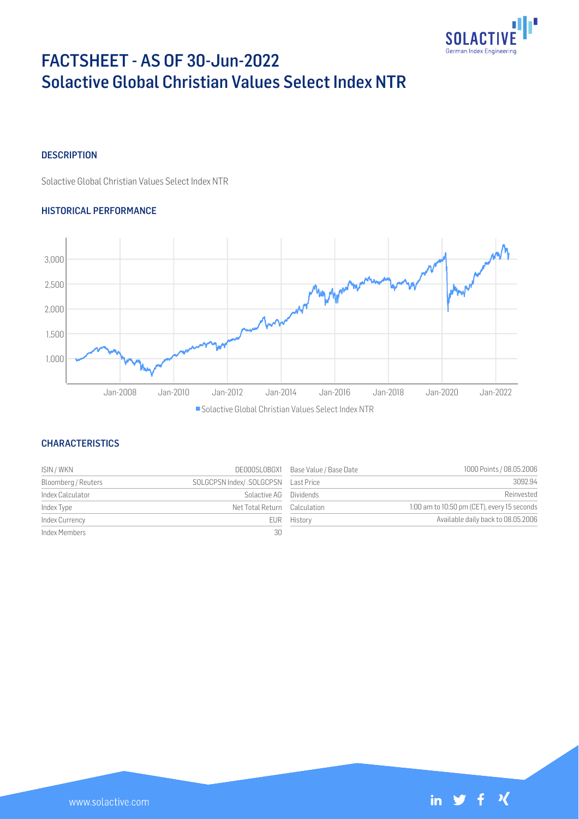

# FACTSHEET - AS OF 30-Jun-2022 Solactive Global Christian Values Select Index NTR

## **DESCRIPTION**

Solactive Global Christian Values Select Index NTR

## HISTORICAL PERFORMANCE



## **CHARACTERISTICS**

| ISIN / WKN          | DE000SL0BGX1                 | Base Value / Base Date | 1000 Points / 08.05.2006                    |
|---------------------|------------------------------|------------------------|---------------------------------------------|
| Bloomberg / Reuters |                              |                        | 3092.94                                     |
| Index Calculator    | Solactive AG Dividends       |                        | Reinvested                                  |
| Index Type          | Net Total Return Calculation |                        | 1:00 am to 10:50 pm (CET), every 15 seconds |
| Index Currency      |                              | EUR History            | Available daily back to 08.05.2006          |
| Index Members       | 30                           |                        |                                             |

| 3092.94                                     |
|---------------------------------------------|
| Reinvested                                  |
| 1:00 am to 10:50 pm (CET), every 15 seconds |
| Available daily back to 08.05.2006          |
|                                             |

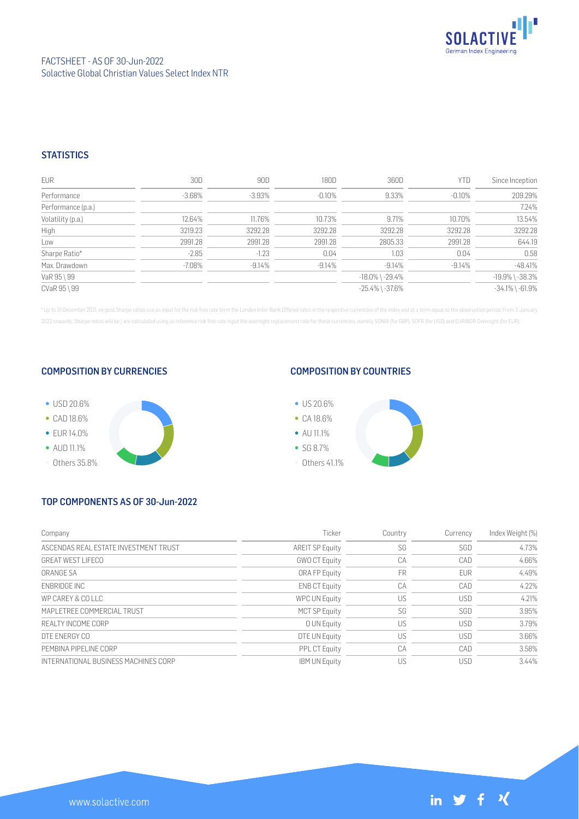

## **STATISTICS**

| EUR                | 30D       | 90D       | 180D     | 360D                  | YTD       | Since Inception       |
|--------------------|-----------|-----------|----------|-----------------------|-----------|-----------------------|
| Performance        | $-3.68\%$ | $-3.93\%$ | $-0.10%$ | 9.33%                 | $-0.10\%$ | 209.29%               |
| Performance (p.a.) |           |           |          |                       |           | 7.24%                 |
| Volatility (p.a.)  | 12.64%    | 11.76%    | 10.73%   | 9.71%                 | 10.70%    | 13.54%                |
| High               | 3219.23   | 3292.28   | 3292.28  | 3292.28               | 3292.28   | 3292.28               |
| Low                | 2991.28   | 2991.28   | 2991.28  | 2805.33               | 2991.28   | 644.19                |
| Sharpe Ratio*      | $-2.85$   | $-1.23$   | 0.04     | 1.03                  | 0.04      | 0.58                  |
| Max. Drawdown      | $-7.08\%$ | $-9.14%$  | $-9.14%$ | $-9.14%$              | $-9.14%$  | $-48.41%$             |
| VaR 95 \ 99        |           |           |          | $-18.0\%$ \ $-29.4\%$ |           | $-19.9\%$ \ $-38.3\%$ |
| CVaR 95 \ 99       |           |           |          | $-25.4\%$ \ $-37.6\%$ |           | $-34.1\%$ \ $-61.9\%$ |

\* Up to 31 December 2021, ex-post Sharpe ratios use as input for the risk free rate term the London Inter-Bank Offered rates in the respective currencies of the index and at a term equal to the observation period. From 3 J 2022 onwards, Sharpe ratios will be / are calculated using as reference risk free rate input the overnight replacement rate for these currencies, namely SONIA (for GBP), SOFR (for USD) and EURIBOR Overnight (for EUR).

## COMPOSITION BY CURRENCIES



## COMPOSITION BY COUNTRIES



# TOP COMPONENTS AS OF 30-Jun-2022

| Company                               | Ticker                 | Country | Currency   | Index Weight (%) |
|---------------------------------------|------------------------|---------|------------|------------------|
| ASCENDAS REAL ESTATE INVESTMENT TRUST | <b>AREIT SP Equity</b> | SG      | SGD        | 4.73%            |
| <b>GREAT WEST LIFECO</b>              | <b>GWO CT Equity</b>   | CA      | CAD        | 4.66%            |
| ORANGE SA                             | ORA FP Equity          | FR      | <b>EUR</b> | 4.49%            |
| <b>FNBRIDGE INC</b>                   | <b>ENB CT Equity</b>   | CA      | CAD        | 4.22%            |
| WP CAREY & COLLC                      | <b>WPC UN Equity</b>   | US      | <b>USD</b> | 4.21%            |
| MAPI FTRFF COMMERCIAL TRUST           | <b>MCT SP Equity</b>   | SG      | SGD        | 3.95%            |
| REALTY INCOME CORP                    | O UN Equity            | US      | <b>USD</b> | 3.79%            |
| DTF ENERGY CO                         | DTE UN Equity          | US      | <b>USD</b> | 3.66%            |
| PEMBINA PIPELINE CORP                 | <b>PPL CT Equity</b>   | CA      | CAD        | 3.58%            |
| INTERNATIONAL BUSINESS MACHINES CORP  | <b>IBM UN Equity</b>   | US      | <b>USD</b> | 3.44%            |